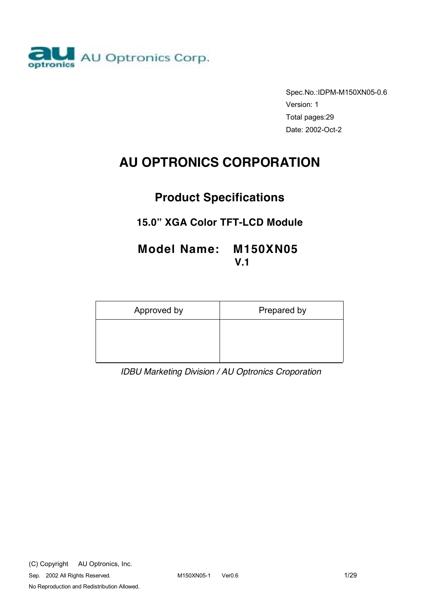

Spec.No.:IDPM-M150XN05-0.6 Version: 1 Total pages:29 Date: 2002-Oct-2

# **AU OPTRONICS CORPORATION**

# **Product Specifications**

# **15.0" XGA Color TFT-LCD Module**

# **Model Name: M150XN05 V.1**

| Approved by | Prepared by |
|-------------|-------------|
|             |             |
|             |             |

*IDBU Marketing Division / AU Optronics Croporation*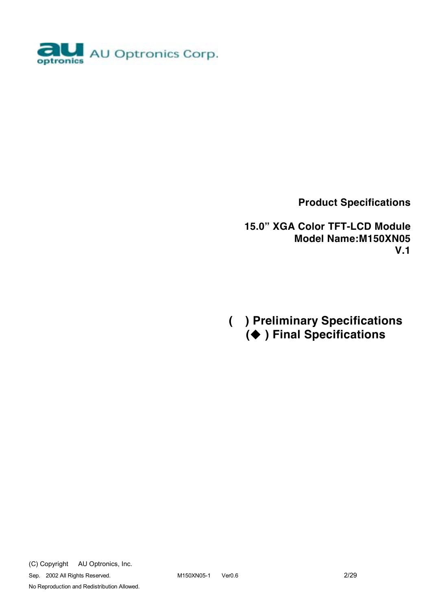

 **Product Specifications** 

 **15.0" XGA Color TFT-LCD Module Model Name:M150XN05 V.1** 

**( ) Preliminary Specifications (**! **) Final Specifications**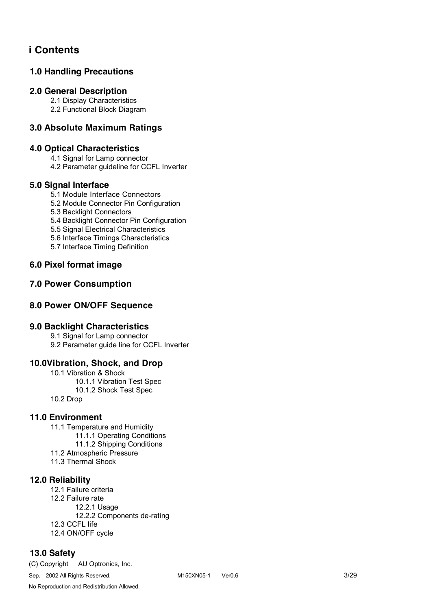# **i Contents**

# **1.0 Handling Precautions**

#### **2.0 General Description**

 2.1 Display Characteristics 2.2 Functional Block Diagram

### **3.0 Absolute Maximum Ratings**

### **4.0 Optical Characteristics**

4.1 Signal for Lamp connector

4.2 Parameter guideline for CCFL Inverter

#### **5.0 Signal Interface**

5.1 Module Interface Connectors

5.2 Module Connector Pin Configuration

5.3 Backlight Connectors

5.4 Backlight Connector Pin Configuration

5.5 Signal Electrical Characteristics

- 5.6 Interface Timings Characteristics
- 5.7 Interface Timing Definition

### **6.0 Pixel format image**

### **7.0 Power Consumption**

### **8.0 Power ON/OFF Sequence**

#### **9.0 Backlight Characteristics**

9.1 Signal for Lamp connector 9.2 Parameter guide line for CCFL Inverter

### **10.0Vibration, Shock, and Drop**

 10.1 Vibration & Shock 10.1.1 Vibration Test Spec 10.1.2 Shock Test Spec 10.2 Drop

#### **11.0 Environment**

11.1 Temperature and Humidity 11.1.1 Operating Conditions 11.1.2 Shipping Conditions 11.2 Atmospheric Pressure 11.3 Thermal Shock

#### **12.0 Reliability**

 12.1 Failure criteria 12.2 Failure rate 12.2.1 Usage 12.2.2 Components de-rating 12.3 CCFL life 12.4 ON/OFF cycle

### **13.0 Safety**

(C) Copyright AU Optronics, Inc.

Sep. 2002 All Rights Reserved. M150XN05-1 Ver0.6 3/29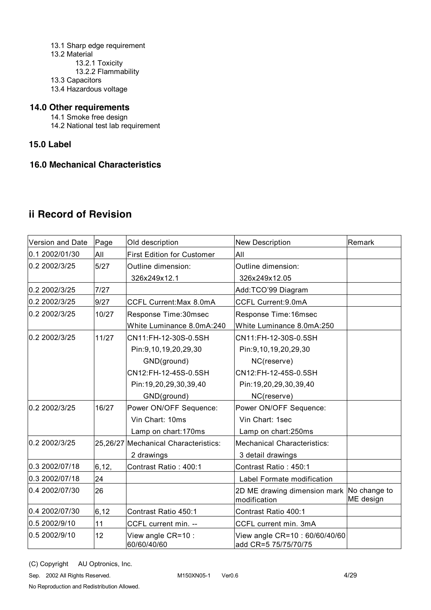- 13.1 Sharp edge requirement 13.2 Material 13.2.1 Toxicity 13.2.2 Flammability 13.3 Capacitors
- 13.4 Hazardous voltage

### **14.0 Other requirements**

- 14.1 Smoke free design
- 14.2 National test lab requirement

### **15.0 Label**

#### **16.0 Mechanical Characteristics**

# **ii Record of Revision**

| Version and Date | Page   | Old description                      | <b>New Description</b>                                      | Remark    |
|------------------|--------|--------------------------------------|-------------------------------------------------------------|-----------|
| 0.1 2002/01/30   | All    | <b>First Edition for Customer</b>    | All                                                         |           |
| 0.2 2002/3/25    | 5/27   | Outline dimension:                   | Outline dimension:                                          |           |
|                  |        | 326x249x12.1                         | 326x249x12.05                                               |           |
| 0.2 2002/3/25    | 7/27   |                                      | Add:TCO'99 Diagram                                          |           |
| 0.2 2002/3/25    | 9/27   | CCFL Current: Max 8.0mA              | CCFL Current: 9.0mA                                         |           |
| 0.2 2002/3/25    | 10/27  | Response Time: 30msec                | Response Time: 16msec                                       |           |
|                  |        | White Luminance 8.0mA:240            | White Luminance 8.0mA:250                                   |           |
| 0.2 2002/3/25    | 11/27  | CN11:FH-12-30S-0.5SH                 | CN11:FH-12-30S-0.5SH                                        |           |
|                  |        | Pin: 9, 10, 19, 20, 29, 30           | Pin: 9, 10, 19, 20, 29, 30                                  |           |
|                  |        | GND(ground)                          | NC(reserve)                                                 |           |
|                  |        | CN12:FH-12-45S-0.5SH                 | CN12:FH-12-45S-0.5SH                                        |           |
|                  |        | Pin:19,20,29,30,39,40                | Pin:19,20,29,30,39,40                                       |           |
|                  |        | GND(ground)                          | NC(reserve)                                                 |           |
| 0.2 2002/3/25    | 16/27  | Power ON/OFF Sequence:               | Power ON/OFF Sequence:                                      |           |
|                  |        | Vin Chart: 10ms                      | Vin Chart: 1sec                                             |           |
|                  |        | Lamp on chart: 170ms                 | Lamp on chart:250ms                                         |           |
| 0.2 2002/3/25    |        | 25,26/27 Mechanical Characteristics: | <b>Mechanical Characteristics:</b>                          |           |
|                  |        | 2 drawings                           | 3 detail drawings                                           |           |
| 0.3 2002/07/18   | 6, 12, | Contrast Ratio: 400:1                | Contrast Ratio: 450:1                                       |           |
| 0.3 2002/07/18   | 24     |                                      | Label Formate modification                                  |           |
| 0.4 2002/07/30   | 26     |                                      | 2D ME drawing dimension mark   No change to<br>modification | ME design |
| 0.4 2002/07/30   | 6, 12  | Contrast Ratio 450:1                 | Contrast Ratio 400:1                                        |           |
| 0.5 2002/9/10    | 11     | CCFL current min. --                 | CCFL current min. 3mA                                       |           |
| 0.5 2002/9/10    | 12     | View angle CR=10 :<br>60/60/40/60    | View angle CR=10: 60/60/40/60<br>add CR=5 75/75/70/75       |           |

(C) Copyright AU Optronics, Inc.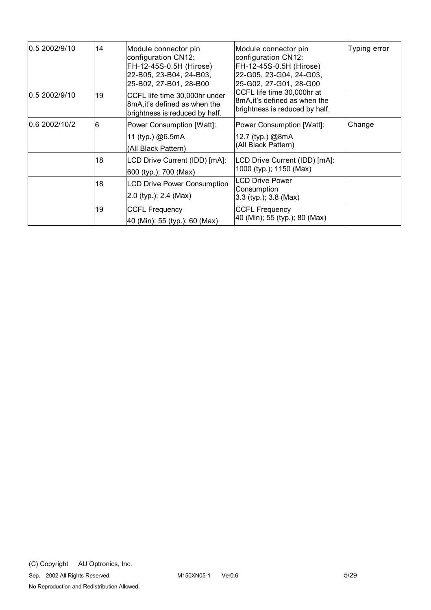| 0.5 2002/9/10 | 14 | Module connector pin<br>configuration CN12:<br>FH-12-45S-0.5H (Hirose)<br>22-B05, 23-B04, 24-B03,<br>25-B02, 27-B01, 28-B00 | Module connector pin<br>configuration CN12:<br>FH-12-45S-0.5H (Hirose)<br>22-G05, 23-G04, 24-G03,<br>25-G02, 27-G01, 28-G00 | Typing error |
|---------------|----|-----------------------------------------------------------------------------------------------------------------------------|-----------------------------------------------------------------------------------------------------------------------------|--------------|
| 0.5 2002/9/10 | 19 | CCFL life time 30,000hr under<br>8mA, it's defined as when the<br>brightness is reduced by half.                            | CCFL life time 30,000hr at<br>8mA, it's defined as when the<br>brightness is reduced by half.                               |              |
| 0.6 2002/10/2 | 6  | Power Consumption [Watt]:<br>11 (typ.) @6.5mA<br>(All Black Pattern)                                                        | Power Consumption [Watt]:<br>12.7 (typ.) @8mA<br>(All Black Pattern)                                                        | Change       |
|               | 18 | LCD Drive Current (IDD) [mA]:<br>600 (typ.); 700 (Max)                                                                      | LCD Drive Current (IDD) [mA]:<br>1000 (typ.); 1150 (Max)                                                                    |              |
|               | 18 | <b>LCD Drive Power Consumption</b><br>2.0 (typ.); 2.4 (Max)                                                                 | <b>LCD Drive Power</b><br>Consumption<br>$3.3$ (typ.); $3.8$ (Max)                                                          |              |
|               | 19 | <b>CCFL Frequency</b><br>40 (Min); 55 (typ.); 60 (Max)                                                                      | <b>CCFL Frequency</b><br>40 (Min); 55 (typ.); 80 (Max)                                                                      |              |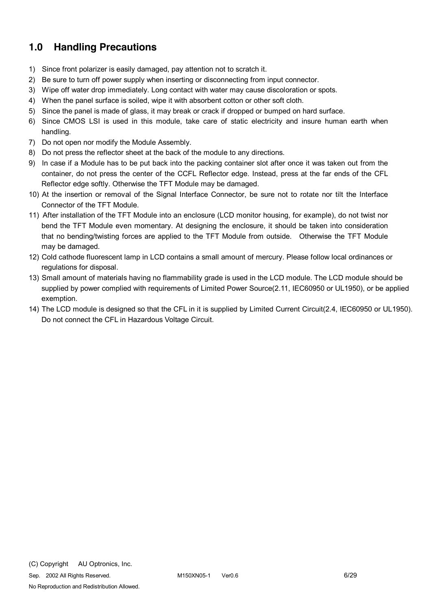# **1.0 Handling Precautions**

- 1) Since front polarizer is easily damaged, pay attention not to scratch it.
- 2) Be sure to turn off power supply when inserting or disconnecting from input connector.
- 3) Wipe off water drop immediately. Long contact with water may cause discoloration or spots.
- 4) When the panel surface is soiled, wipe it with absorbent cotton or other soft cloth.
- 5) Since the panel is made of glass, it may break or crack if dropped or bumped on hard surface.
- 6) Since CMOS LSI is used in this module, take care of static electricity and insure human earth when handling.
- 7) Do not open nor modify the Module Assembly.
- 8) Do not press the reflector sheet at the back of the module to any directions.
- 9) In case if a Module has to be put back into the packing container slot after once it was taken out from the container, do not press the center of the CCFL Reflector edge. Instead, press at the far ends of the CFL Reflector edge softly. Otherwise the TFT Module may be damaged.
- 10) At the insertion or removal of the Signal Interface Connector, be sure not to rotate nor tilt the Interface Connector of the TFT Module.
- 11) After installation of the TFT Module into an enclosure (LCD monitor housing, for example), do not twist nor bend the TFT Module even momentary. At designing the enclosure, it should be taken into consideration that no bending/twisting forces are applied to the TFT Module from outside. Otherwise the TFT Module may be damaged.
- 12) Cold cathode fluorescent lamp in LCD contains a small amount of mercury. Please follow local ordinances or regulations for disposal.
- 13) Small amount of materials having no flammability grade is used in the LCD module. The LCD module should be supplied by power complied with requirements of Limited Power Source(2.11, IEC60950 or UL1950), or be applied exemption.
- 14) The LCD module is designed so that the CFL in it is supplied by Limited Current Circuit(2.4, IEC60950 or UL1950). Do not connect the CFL in Hazardous Voltage Circuit.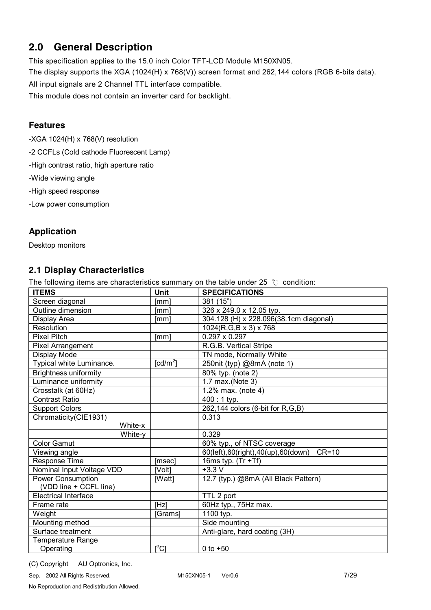# **2.0 General Description**

This specification applies to the 15.0 inch Color TFT-LCD Module M150XN05.

The display supports the XGA (1024(H) x 768(V)) screen format and 262,144 colors (RGB 6-bits data).

All input signals are 2 Channel TTL interface compatible.

This module does not contain an inverter card for backlight.

# **Features**

-XGA 1024(H) x 768(V) resolution

-2 CCFLs (Cold cathode Fluorescent Lamp)

-High contrast ratio, high aperture ratio

-Wide viewing angle

-High speed response

-Low power consumption

# **Application**

Desktop monitors

# **2.1 Display Characteristics**

The following items are characteristics summary on the table under 25  $°C$  condition:

| <b>ITEMS</b>                 | Unit                    | <b>SPECIFICATIONS</b>                         |
|------------------------------|-------------------------|-----------------------------------------------|
| Screen diagonal              | [mm]                    | 381 (15")                                     |
| Outline dimension            | [mm]                    | 326 x 249.0 x 12.05 typ.                      |
| Display Area                 | [mm]                    | 304.128 (H) x 228.096(38.1cm diagonal)        |
| Resolution                   |                         | 1024(R,G,B x 3) x 768                         |
| <b>Pixel Pitch</b>           | [mm]                    | $0.297 \times 0.297$                          |
| <b>Pixel Arrangement</b>     |                         | R.G.B. Vertical Stripe                        |
| Display Mode                 |                         | TN mode, Normally White                       |
| Typical white Luminance.     | [cd/m <sup>2</sup> ]    | 250nit (typ) @8mA (note 1)                    |
| <b>Brightness uniformity</b> |                         | 80% typ. (note 2)                             |
| Luminance uniformity         |                         | 1.7 max.(Note 3)                              |
| Crosstalk (at 60Hz)          |                         | $\overline{1.2}$ % max. (note 4)              |
| <b>Contrast Ratio</b>        |                         | $400:1$ typ.                                  |
| <b>Support Colors</b>        |                         | 262,144 colors (6-bit for R,G,B)              |
| Chromaticity(CIE1931)        |                         | 0.313                                         |
| White-x                      |                         |                                               |
| White-y                      |                         | 0.329                                         |
| <b>Color Gamut</b>           |                         | 60% typ., of NTSC coverage                    |
| Viewing angle                |                         | $CR=10$<br>60(left),60(right),40(up),60(down) |
| Response Time                | [msec]                  | 16ms typ. $(Tr + Tf)$                         |
| Nominal Input Voltage VDD    | [Volt]                  | $+3.3V$                                       |
| Power Consumption            | [Watt]                  | 12.7 (typ.) @8mA (All Black Pattern)          |
| (VDD line + CCFL line)       |                         |                                               |
| <b>Electrical Interface</b>  |                         | TTL 2 port                                    |
| Frame rate                   | [Hz]                    | 60Hz typ., 75Hz max.                          |
| Weight                       | [Grams]                 | 1100 typ.                                     |
| Mounting method              |                         | Side mounting                                 |
| Surface treatment            |                         | Anti-glare, hard coating (3H)                 |
| Temperature Range            |                         |                                               |
| Operating                    | $\mathsf{I}^{\circ}$ Cl | 0 to $+50$                                    |

(C) Copyright AU Optronics, Inc.

Sep. 2002 All Rights Reserved. M150XN05-1 Ver0.6 7/29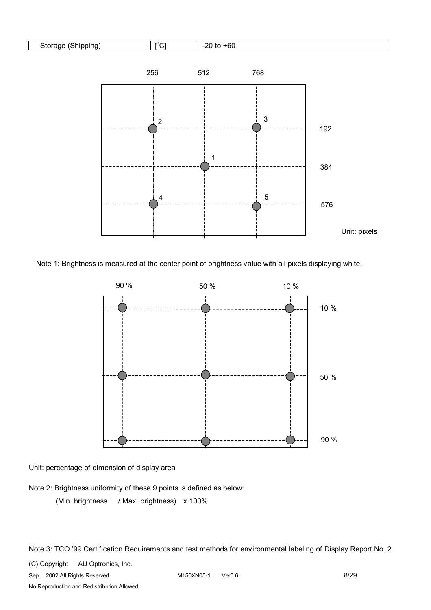

Note 1: Brightness is measured at the center point of brightness value with all pixels displaying white.



 Unit: percentage of dimension of display area

Note 2: Brightness uniformity of these 9 points is defined as below:

(Min. brightness / Max. brightness) x 100%

Note 3: TCO '99 Certification Requirements and test methods for environmental labeling of Display Report No. 2

(C) Copyright AU Optronics, Inc.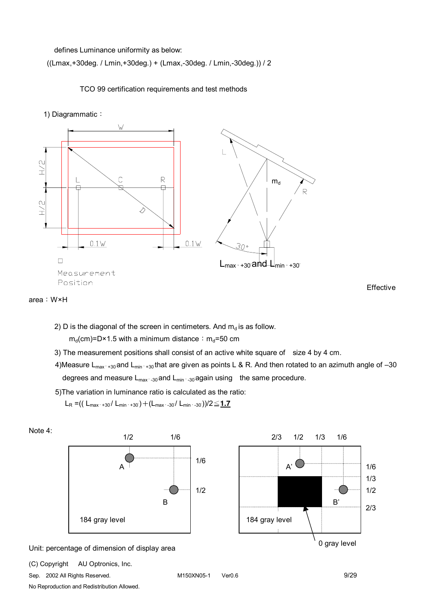defines Luminance uniformity as below:

((Lmax,+30deg. / Lmin,+30deg.) + (Lmax,-30deg. / Lmin,-30deg.)) / 2

TCO 99 certification requirements and test methods

1) Diagrammatic:





2) D is the diagonal of the screen in centimeters. And  $m_d$  is as follow.

 $m_d$ (cm)=D×1.5 with a minimum distance:  $m_d$ =50 cm

3) The measurement positions shall consist of an active white square of size 4 by 4 cm.

4)Measure  $L_{max+30}$  and  $L_{min+30}$  that are given as points L & R. And then rotated to an azimuth angle of -30 degrees and measure  $L_{\text{max} \rightarrow 30}$  and  $L_{\text{min} \rightarrow 30}$  again using the same procedure.

5)The variation in luminance ratio is calculated as the ratio:

$$
L_{R} = (( L_{\text{max'} + 30} / L_{\text{min'} + 30}) + (L_{\text{max'} - 30} / L_{\text{min'} - 30})) / 2 \leq 1.7
$$



(C) Copyright AU Optronics, Inc.

Sep. 2002 All Rights Reserved. M150XN05-1 Ver0.6 9/29

No Reproduction and Redistribution Allowed.

Effective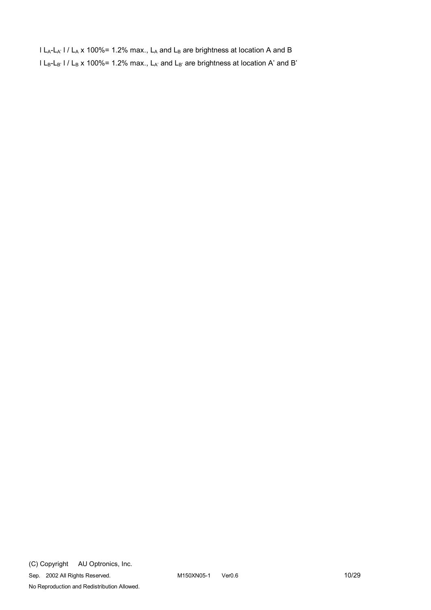$l L_A-L_{A'}$  l /  $L_A$  x 100%= 1.2% max.,  $L_A$  and  $L_B$  are brightness at location A and B  $l L_B-L_{B'}$  l /  $L_B$  x 100%= 1.2% max.,  $L_{A'}$  and  $L_{B'}$  are brightness at location A' and B'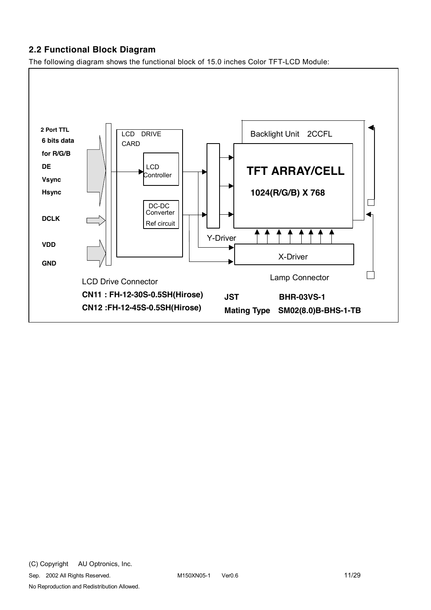### **2.2 Functional Block Diagram**

The following diagram shows the functional block of 15.0 inches Color TFT-LCD Module:

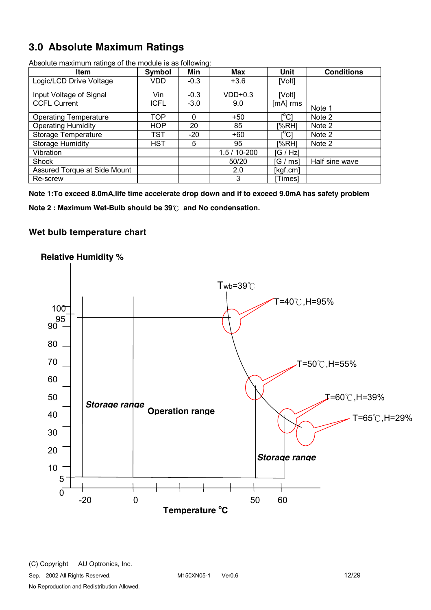# **3.0 Absolute Maximum Ratings**

| ັ<br><b>Item</b>             | Symbol      | Min    | Max          | Unit                                    | <b>Conditions</b> |
|------------------------------|-------------|--------|--------------|-----------------------------------------|-------------------|
| Logic/LCD Drive Voltage      | VDD         | $-0.3$ | $+3.6$       | [Volt]                                  |                   |
| Input Voltage of Signal      | Vin         | $-0.3$ | $VDD+0.3$    | [Volt]                                  |                   |
| <b>CCFL Current</b>          | <b>ICFL</b> | $-3.0$ | 9.0          | [mA] rms                                | Note 1            |
| <b>Operating Temperature</b> | <b>TOP</b>  | 0      | $+50$        | $\mathsf{I}^\circ\mathsf{C} \mathsf{I}$ | Note 2            |
| <b>Operating Humidity</b>    | <b>HOP</b>  | 20     | 85           | [%RH]                                   | Note 2            |
| Storage Temperature          | <b>TST</b>  | $-20$  | $+60$        | rºC1                                    | Note 2            |
| <b>Storage Humidity</b>      | <b>HST</b>  | 5      | 95           | [%RH]                                   | Note 2            |
| Vibration                    |             |        | $1.5/10-200$ | [G / Hz]                                |                   |
| Shock                        |             |        | 50/20        | G / ms]                                 | Half sine wave    |
| Assured Torque at Side Mount |             |        | 2.0          | [kgf.cm]                                |                   |
| Re-screw                     |             |        | 3            | Timesl                                  |                   |

Absolute maximum ratings of the module is as following:

**Note 1:To exceed 8.0mA,life time accelerate drop down and if to exceed 9.0mA has safety problem** 

**Note 2 : Maximum Wet-Bulb should be 39**℃ **and No condensation.**

### **Wet bulb temperature chart**

# **Relative Humidity %**

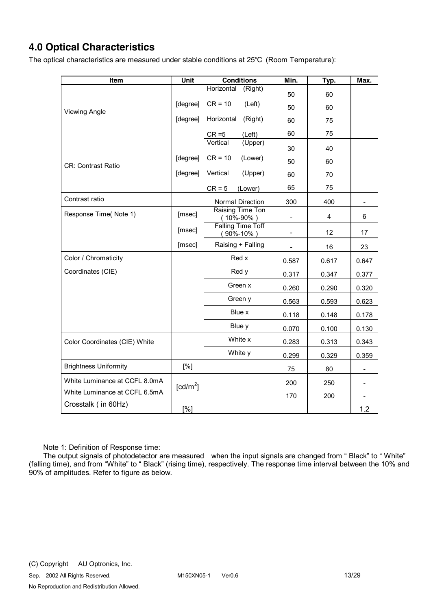# **4.0 Optical Characteristics**

The optical characteristics are measured under stable conditions at 25℃ (Room Temperature):

| Item                          | Unit                 | <b>Conditions</b>                           | Min.                     | Typ.  | Max.  |
|-------------------------------|----------------------|---------------------------------------------|--------------------------|-------|-------|
|                               |                      | Horizontal<br>(Right)                       | 50                       | 60    |       |
|                               | [degree]             | $CR = 10$<br>(Left)                         | 50                       | 60    |       |
| <b>Viewing Angle</b>          | [degree]             | Horizontal<br>(Right)                       | 60                       | 75    |       |
|                               |                      |                                             |                          |       |       |
|                               |                      | $CR = 5$<br>(Left)<br>Vertical<br>(Upper)   | 60                       | 75    |       |
|                               |                      |                                             | 30                       | 40    |       |
| CR: Contrast Ratio            | [degree]             | $CR = 10$<br>(Lower)                        | 50                       | 60    |       |
|                               | [degree]             | Vertical<br>(Upper)                         | 60                       | 70    |       |
|                               |                      | $CR = 5$<br>(Lower)                         | 65                       | 75    |       |
| Contrast ratio                |                      | Normal Direction                            | 300                      | 400   |       |
| Response Time(Note 1)         | [msec]               | Raising Time Ton<br>$(10\% - 90\%)$         | $\overline{\phantom{0}}$ | 4     | 6     |
|                               | [msec]               | <b>Falling Time Toff</b><br>$(90\% - 10\%)$ | $\overline{\phantom{0}}$ | 12    | 17    |
|                               | [msec]               | Raising + Falling                           |                          | 16    | 23    |
| Color / Chromaticity          |                      | Red x                                       | 0.587                    | 0.617 | 0.647 |
| Coordinates (CIE)             |                      | Red y                                       | 0.317                    | 0.347 | 0.377 |
|                               |                      | Green x                                     | 0.260                    | 0.290 | 0.320 |
|                               |                      | Green y                                     | 0.563                    | 0.593 | 0.623 |
|                               |                      | Blue x                                      | 0.118                    | 0.148 | 0.178 |
|                               |                      | Blue y                                      | 0.070                    | 0.100 | 0.130 |
| Color Coordinates (CIE) White |                      | White x                                     | 0.283                    | 0.313 | 0.343 |
|                               |                      | White y                                     | 0.299                    | 0.329 | 0.359 |
| <b>Brightness Uniformity</b>  | [%]                  |                                             | 75                       | 80    |       |
| White Luminance at CCFL 8.0mA | [cd/m <sup>2</sup> ] |                                             | 200                      | 250   |       |
| White Luminance at CCFL 6.5mA |                      |                                             | 170                      | 200   |       |
| Crosstalk (in 60Hz)           | [%]                  |                                             |                          |       | 1.2   |

Note 1: Definition of Response time:

The output signals of photodetector are measured when the input signals are changed from " Black" to " White" (falling time), and from "White" to " Black" (rising time), respectively. The response time interval between the 10% and 90% of amplitudes. Refer to figure as below.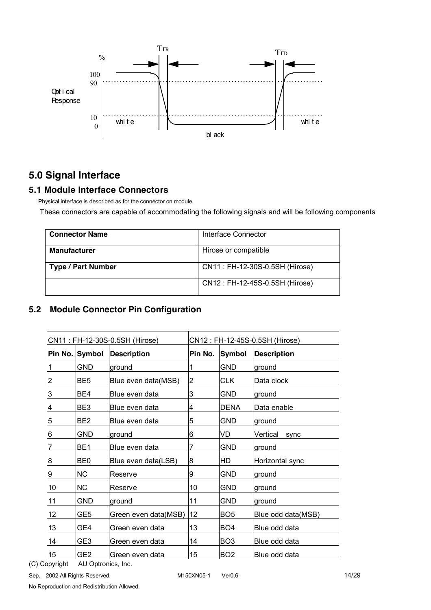

# **5.0 Signal Interface**

### **5.1 Module Interface Connectors**

Physical interface is described as for the connector on module.

These connectors are capable of accommodating the following signals and will be following components

| <b>Connector Name</b>     | Interface Connector            |
|---------------------------|--------------------------------|
| <b>Manufacturer</b>       | Hirose or compatible           |
| <b>Type / Part Number</b> | CN11: FH-12-30S-0.5SH (Hirose) |
|                           | CN12: FH-12-45S-0.5SH (Hirose) |

# **5.2 Module Connector Pin Configuration**

| CN11: FH-12-30S-0.5SH (Hirose) |                 | CN12: FH-12-45S-0.5SH (Hirose) |         |                 |                    |
|--------------------------------|-----------------|--------------------------------|---------|-----------------|--------------------|
|                                | Pin No. Symbol  | <b>Description</b>             | Pin No. | <b>Symbol</b>   | <b>Description</b> |
|                                | <b>GND</b>      | ground                         |         | <b>GND</b>      | ground             |
| 2                              | BE <sub>5</sub> | Blue even data(MSB)            | 2       | CLK             | Data clock         |
| 3                              | BE4             | Blue even data                 | 3       | GND             | ground             |
| 4                              | BE <sub>3</sub> | Blue even data                 | 4       | DENA            | Data enable        |
| 5                              | BE <sub>2</sub> | Blue even data                 | 5       | GND             | ground             |
| 6                              | <b>GND</b>      | ground                         | 6       | VD              | Vertical<br>sync   |
| 7                              | BE <sub>1</sub> | Blue even data                 | 7       | GND             | ground             |
| 8                              | BE0             | Blue even data(LSB)            | 8       | HD              | Horizontal sync    |
| 9                              | <b>NC</b>       | Reserve                        | 9       | <b>GND</b>      | ground             |
| 10                             | <b>NC</b>       | Reserve                        | 10      | GND             | ground             |
| 11                             | <b>GND</b>      | ground                         | 11      | GND             | ground             |
| 12                             | GE <sub>5</sub> | Green even data(MSB)           | 12      | BO <sub>5</sub> | Blue odd data(MSB) |
| 13                             | GE4             | Green even data                | 13      | BO <sub>4</sub> | Blue odd data      |
| 14                             | GE3             | Green even data                | 14      | BO <sub>3</sub> | Blue odd data      |
| 15                             | GE2             | Green even data                | 15      | BO <sub>2</sub> | Blue odd data      |

(C) Copyright AU Optronics, Inc.

Sep. 2002 All Rights Reserved. 14/29 M150XN05-1 Ver0.6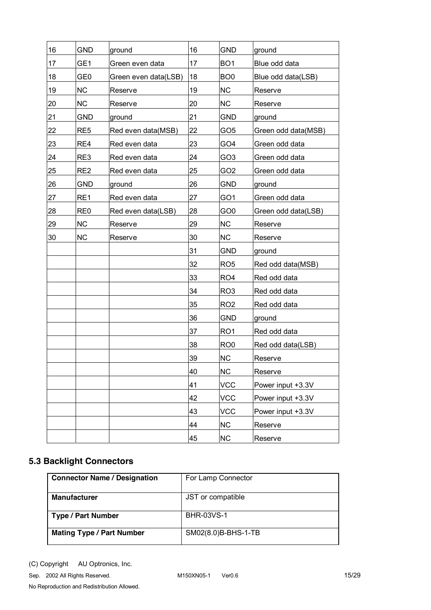| 16 | <b>GND</b>      | ground               | 16 | <b>GND</b>      | ground              |
|----|-----------------|----------------------|----|-----------------|---------------------|
| 17 | GE1             | Green even data      | 17 | BO <sub>1</sub> | Blue odd data       |
| 18 | GE <sub>0</sub> | Green even data(LSB) | 18 | BO <sub>0</sub> | Blue odd data(LSB)  |
| 19 | <b>NC</b>       | Reserve              | 19 | <b>NC</b>       | Reserve             |
| 20 | <b>NC</b>       | Reserve              | 20 | <b>NC</b>       | Reserve             |
| 21 | <b>GND</b>      | ground               | 21 | <b>GND</b>      | ground              |
| 22 | RE <sub>5</sub> | Red even data(MSB)   | 22 | GO <sub>5</sub> | Green odd data(MSB) |
| 23 | RE4             | Red even data        | 23 | GO4             | Green odd data      |
| 24 | RE3             | Red even data        | 24 | GO3             | Green odd data      |
| 25 | RE <sub>2</sub> | Red even data        | 25 | GO2             | Green odd data      |
| 26 | <b>GND</b>      | ground               | 26 | <b>GND</b>      | ground              |
| 27 | RE1             | Red even data        | 27 | GO1             | Green odd data      |
| 28 | RE <sub>0</sub> | Red even data(LSB)   | 28 | GO <sub>0</sub> | Green odd data(LSB) |
| 29 | <b>NC</b>       | Reserve              | 29 | <b>NC</b>       | Reserve             |
| 30 | <b>NC</b>       | Reserve              | 30 | <b>NC</b>       | Reserve             |
|    |                 |                      | 31 | <b>GND</b>      | ground              |
|    |                 |                      | 32 | RO <sub>5</sub> | Red odd data(MSB)   |
|    |                 |                      | 33 | RO <sub>4</sub> | Red odd data        |
|    |                 |                      | 34 | RO <sub>3</sub> | Red odd data        |
|    |                 |                      | 35 | RO <sub>2</sub> | Red odd data        |
|    |                 |                      | 36 | <b>GND</b>      | ground              |
|    |                 |                      | 37 | RO <sub>1</sub> | Red odd data        |
|    |                 |                      | 38 | RO <sub>0</sub> | Red odd data(LSB)   |
|    |                 |                      | 39 | <b>NC</b>       | Reserve             |
|    |                 |                      | 40 | <b>NC</b>       | Reserve             |
|    |                 |                      | 41 | VCC             | Power input +3.3V   |
|    |                 |                      | 42 | <b>VCC</b>      | Power input +3.3V   |
|    |                 |                      | 43 | <b>VCC</b>      | Power input +3.3V   |
|    |                 |                      | 44 | NC              | Reserve             |
|    |                 |                      | 45 | <b>NC</b>       | Reserve             |

# **5.3 Backlight Connectors**

| <b>Connector Name / Designation</b> | For Lamp Connector  |
|-------------------------------------|---------------------|
| <b>Manufacturer</b>                 | JST or compatible   |
| <b>Type / Part Number</b>           | <b>BHR-03VS-1</b>   |
| <b>Mating Type / Part Number</b>    | SM02(8.0)B-BHS-1-TB |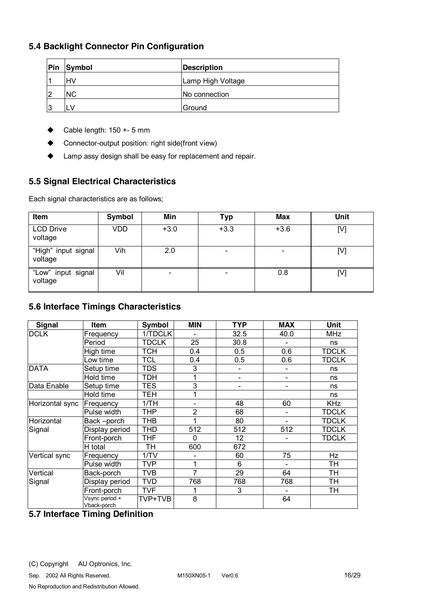### **5.4 Backlight Connector Pin Configuration**

| Pin | Symbol    | <b>Description</b>   |
|-----|-----------|----------------------|
|     | HV        | Lamp High Voltage    |
| 12  | <b>NC</b> | <b>No connection</b> |
| 13  | N.        | Ground               |

- $\triangleleft$  Cable length: 150 +- 5 mm
- ◆ Connector-output position: right side(front view)
- ♦ Lamp assy design shall be easy for replacement and repair.

### **5.5 Signal Electrical Characteristics**

Each signal characteristics are as follows;

| Item                           | Symbol | Min                      | Typ    | <b>Max</b> | Unit |
|--------------------------------|--------|--------------------------|--------|------------|------|
| <b>LCD Drive</b><br>voltage    | VDD    | $+3.0$                   | $+3.3$ | $+3.6$     | [V]  |
| "High" input signal<br>voltage | Vih    | 2.0                      |        |            | [V]  |
| "Low" input signal<br>voltage  | Vil    | $\overline{\phantom{0}}$ |        | 0.8        | [V]  |

### **5.6 Interface Timings Characteristics**

| Signal          | <b>Item</b>                   | Symbol       | <b>MIN</b>     | <b>TYP</b> | <b>MAX</b>               | <b>Unit</b>  |
|-----------------|-------------------------------|--------------|----------------|------------|--------------------------|--------------|
| <b>DCLK</b>     | Frequency                     | 1/TDCLK      |                | 32.5       | 40.0                     | <b>MHz</b>   |
|                 | Period                        | <b>TDCLK</b> | 25             | 30.8       | Ē,                       | ns           |
|                 | High time                     | <b>TCH</b>   | 0.4            | 0.5        | 0.6                      | <b>TDCLK</b> |
|                 | Low time                      | <b>TCL</b>   | 0.4            | 0.5        | 0.6                      | <b>TDCLK</b> |
| <b>DATA</b>     | Setup time                    | <b>TDS</b>   | 3              | Ξ.         |                          | ns           |
|                 | Hold time                     | <b>TDH</b>   | 1              |            |                          | ns           |
| Data Enable     | Setup time                    | <b>TES</b>   | 3              | Ξ.         | $\overline{\phantom{a}}$ | ns           |
|                 | Hold time                     | <b>TEH</b>   |                |            |                          | ns           |
| Horizontal sync | Frequency                     | 1/TH         |                | 48         | 60                       | <b>KHz</b>   |
|                 | Pulse width                   | <b>THP</b>   | $\overline{2}$ | 68         | $\overline{\phantom{a}}$ | <b>TDCLK</b> |
| Horizontal      | Back-porch                    | <b>THB</b>   |                | 80         |                          | <b>TDCLK</b> |
| Signal          | Display period                | <b>THD</b>   | 512            | 512        | 512                      | <b>TDCLK</b> |
|                 | Front-porch                   | <b>THF</b>   | $\Omega$       | 12         | $\overline{\phantom{0}}$ | <b>TDCLK</b> |
|                 | H total                       | TH           | 600            | 672        |                          |              |
| Vertical sync   | Frequency                     | 1/TV         |                | 60         | 75                       | Hz           |
|                 | Pulse width                   | <b>TVP</b>   | 1              | 6          |                          | TН           |
| Vertical        | Back-porch                    | <b>TVB</b>   | 7              | 29         | 64                       | TH           |
| Signal          | Display period                | <b>TVD</b>   | 768            | 768        | 768                      | <b>TH</b>    |
|                 | Front-porch                   | <b>TVF</b>   | 1              | 3          |                          | TH           |
|                 | Vsync period +<br>Vback-porch | TVP+TVB      | 8              |            | 64                       |              |

### **5.7 Interface Timing Definition**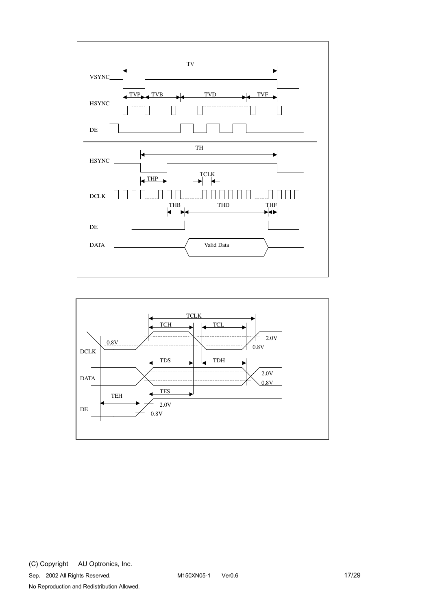

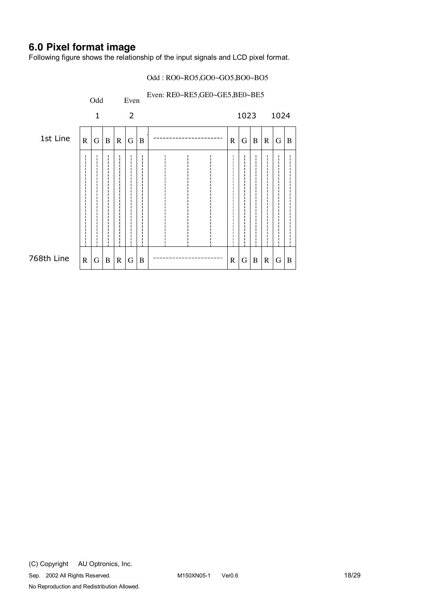# **6.0 Pixel format image**

Following figure shows the relationship of the input signals and LCD pixel format.

#### Odd : RO0~RO5,GO0~GO5,BO0~BO5

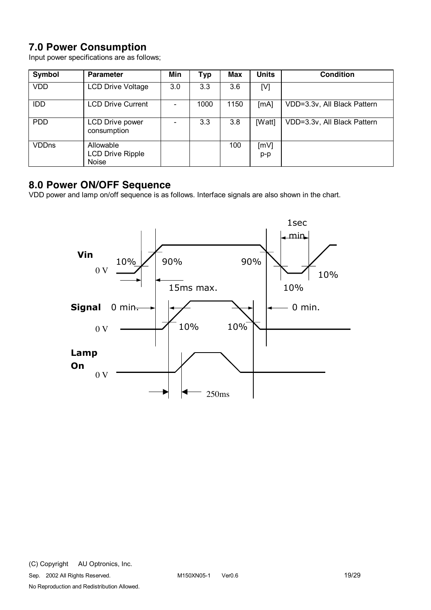# **7.0 Power Consumption**

Input power specifications are as follows;

| Symbol       | <b>Parameter</b>                                     | Min | <b>Typ</b> | Max  | <b>Units</b> | <b>Condition</b>            |
|--------------|------------------------------------------------------|-----|------------|------|--------------|-----------------------------|
| <b>VDD</b>   | <b>LCD Drive Voltage</b>                             | 3.0 | 3.3        | 3.6  | [V]          |                             |
| <b>IDD</b>   | <b>LCD Drive Current</b>                             |     | 1000       | 1150 | [mA]         | VDD=3.3v, All Black Pattern |
| <b>PDD</b>   | LCD Drive power<br>consumption                       |     | 3.3        | 3.8  | [Watt]       | VDD=3.3v, All Black Pattern |
| <b>VDDns</b> | Allowable<br><b>LCD Drive Ripple</b><br><b>Noise</b> |     |            | 100  | [mV]<br>p-p  |                             |

# **8.0 Power ON/OFF Sequence**

VDD power and lamp on/off sequence is as follows. Interface signals are also shown in the chart.

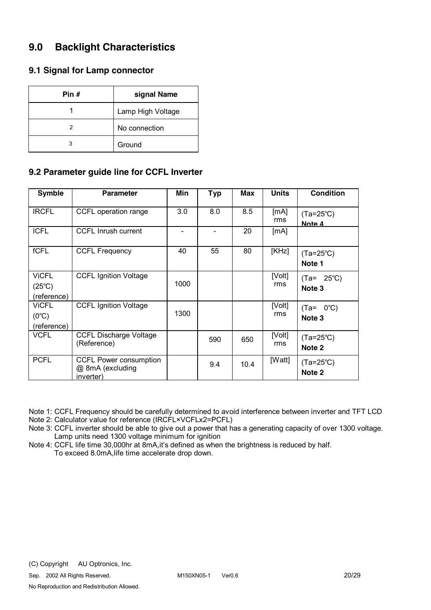# **9.0 Backlight Characteristics**

### **9.1 Signal for Lamp connector**

| Pin # | signal Name       |
|-------|-------------------|
|       | Lamp High Voltage |
|       | No connection     |
| 3     | Ground            |

### **9.2 Parameter guide line for CCFL Inverter**

| <b>Symble</b>   | <b>Parameter</b>                                               | <b>Min</b> | <b>Typ</b> | Max  | <b>Units</b>  | <b>Condition</b>             |
|-----------------|----------------------------------------------------------------|------------|------------|------|---------------|------------------------------|
| <b>IRCFL</b>    | CCFL operation range                                           | 3.0        | 8.0        | 8.5  | [mA]<br>rms   | $(Ta=25^{\circ}C)$<br>Note 4 |
| <b>ICFL</b>     | <b>CCFL Inrush current</b>                                     |            |            | 20   | [mA]          |                              |
| fCFL            | <b>CCFL Frequency</b>                                          | 40         | 55         | 80   | [KHz]         | $(Ta=25^{\circ}C)$<br>Note 1 |
| <b>ViCFL</b>    | <b>CCFL Ignition Voltage</b>                                   |            |            |      | [Volt]        | $25^{\circ}$ C)<br>$(Ta=$    |
| $(25^{\circ}C)$ |                                                                | 1000       |            |      | rms           | Note 3                       |
| (reference)     |                                                                |            |            |      |               |                              |
| <b>ViCFL</b>    | <b>CCFL Ignition Voltage</b>                                   |            |            |      | [Volt]        | $0^{\circ}$ C)<br>$(Ta=$     |
| $(0^{\circ}C)$  |                                                                | 1300       |            |      | rms           | Note 3                       |
| (reference)     |                                                                |            |            |      |               |                              |
| <b>VCFL</b>     | <b>CCFL Discharge Voltage</b><br>(Reference)                   |            | 590        | 650  | [Volt]<br>rms | $(Ta=25^{\circ}C)$<br>Note 2 |
| <b>PCFL</b>     | <b>CCFL Power consumption</b><br>@ 8mA (excluding<br>inverter) |            | 9.4        | 10.4 | [Watt]        | $(Ta=25^{\circ}C)$<br>Note 2 |

Note 1: CCFL Frequency should be carefully determined to avoid interference between inverter and TFT LCD Note 2: Calculator value for reference (IRCFL×VCFLx2=PCFL)

- Note 3: CCFL inverter should be able to give out a power that has a generating capacity of over 1300 voltage. Lamp units need 1300 voltage minimum for ignition
- Note 4: CCFL life time 30,000hr at 8mA,it's defined as when the brightness is reduced by half. To exceed 8.0mA,life time accelerate drop down.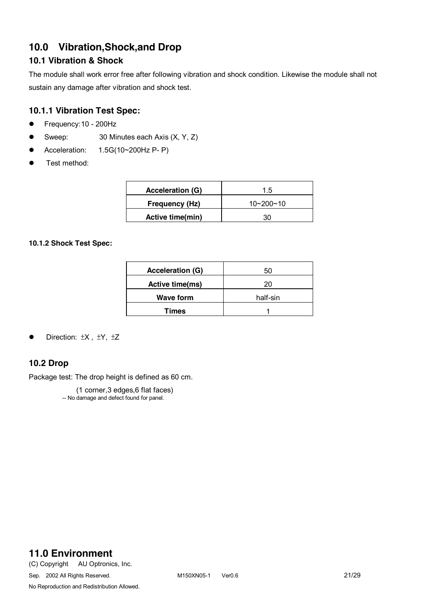# **10.0 Vibration,Shock,and Drop**

### **10.1 Vibration & Shock**

The module shall work error free after following vibration and shock condition. Likewise the module shall not sustain any damage after vibration and shock test.

### **10.1.1 Vibration Test Spec:**

- $\bullet$  Frequency: 10 200Hz
- Sweep:  $30$  Minutes each Axis  $(X, Y, Z)$
- $\bullet$  Acceleration: 1.5G(10~200Hz P- P)
- $\bullet$  Test method:

| <b>Acceleration (G)</b> | $1.5^{\circ}$   |
|-------------------------|-----------------|
| Frequency (Hz)          | $10 - 200 - 10$ |
| Active time(min)        |                 |

#### **10.1.2 Shock Test Spec:**

| <b>Acceleration (G)</b> | 50       |
|-------------------------|----------|
| Active time(ms)         | 20       |
| <b>Wave form</b>        | half-sin |
| Times                   |          |

Direction:  $\pm X$ ,  $\pm Y$ ,  $\pm Z$ 

### **10.2 Drop**

Package test: The drop height is defined as 60 cm.

 (1 corner,3 edges,6 flat faces) -- No damage and defect found for panel.

# **11.0 Environment**

(C) Copyright AU Optronics, Inc. Sep. 2002 All Rights Reserved. M150XN05-1 Ver0.6 21/29 No Reproduction and Redistribution Allowed.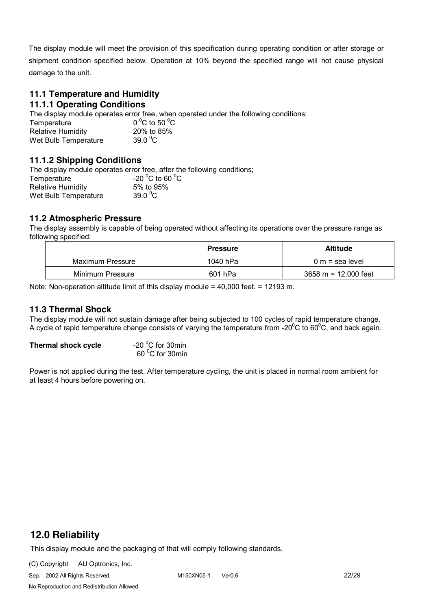The display module will meet the provision of this specification during operating condition or after storage or shipment condition specified below. Operation at 10% beyond the specified range will not cause physical damage to the unit.

### **11.1 Temperature and Humidity**

### **11.1.1 Operating Conditions**

The display module operates error free, when operated under the following conditions;

| Temperature              | 0 $^{\circ}$ C to 50 $^{\circ}$ C |
|--------------------------|-----------------------------------|
| <b>Relative Humidity</b> | 20% to 85%                        |
| Wet Bulb Temperature     | 39.0 $\mathrm{^0C}$               |

#### **11.1.2 Shipping Conditions**

The display module operates error free, after the following conditions; Temperature C to 60 $\mathrm{^0C}$ Relative Humidity 5% to 95% Wet Bulb Temperature 39.0 $^0$ C

#### **11.2 Atmospheric Pressure**

The display assembly is capable of being operated without affecting its operations over the pressure range as following specified:

|                  | <b>Pressure</b> | <b>Altitude</b>                        |
|------------------|-----------------|----------------------------------------|
| Maximum Pressure | 1040 hPa        | $0 m$ = sea level                      |
| Minimum Pressure | 601 hPa         | $3658 \text{ m} = 12,000 \text{ feet}$ |

Note: Non-operation altitude limit of this display module = 40,000 feet. = 12193 m.

#### **11.3 Thermal Shock**

The display module will not sustain damage after being subjected to 100 cycles of rapid temperature change. A cycle of rapid temperature change consists of varying the temperature from -20 $\rm{^0C}$  to 60 $\rm{^0C}$ , and back again.

| Thermal shock cycle | -20 $\mathrm{^0C}$ for 30min |
|---------------------|------------------------------|
|                     | 60 °C for 30min              |

Power is not applied during the test. After temperature cycling, the unit is placed in normal room ambient for at least 4 hours before powering on.

# **12.0 Reliability**

This display module and the packaging of that will comply following standards.

(C) Copyright AU Optronics, Inc.

Sep. 2002 All Rights Reserved. M150XN05-1 Ver0.6 22/29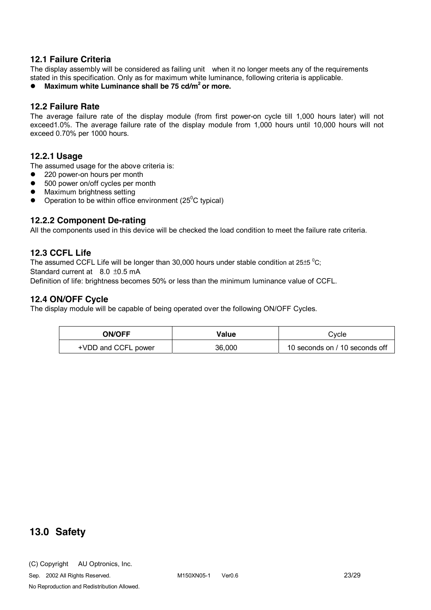#### **12.1 Failure Criteria**

The display assembly will be considered as failing unit when it no longer meets any of the requirements stated in this specification. Only as for maximum white luminance, following criteria is applicable.

**•** Maximum white Luminance shall be 75 cd/m<sup>2</sup> or more.

#### **12.2 Failure Rate**

The average failure rate of the display module (from first power-on cycle till 1,000 hours later) will not exceed1.0%. The average failure rate of the display module from 1,000 hours until 10,000 hours will not exceed 0.70% per 1000 hours.

#### **12.2.1 Usage**

The assumed usage for the above criteria is:

- 220 power-on hours per month
- 500 power on/off cycles per month
- Maximum brightness setting
- Operation to be within office environment ( $25^{\circ}$ C typical)

#### **12.2.2 Component De-rating**

All the components used in this device will be checked the load condition to meet the failure rate criteria.

#### **12.3 CCFL Life**

The assumed CCFL Life will be longer than 30,000 hours under stable condition at 25 $\pm$ 5 °C; Standard current at 8.0 ±0.5 mA Definition of life: brightness becomes 50% or less than the minimum luminance value of CCFL.

#### **12.4 ON/OFF Cycle**

The display module will be capable of being operated over the following ON/OFF Cycles.

| <b>ON/OFF</b>       | Value  | Cvcle                          |  |
|---------------------|--------|--------------------------------|--|
| +VDD and CCFL power | 36,000 | 10 seconds on / 10 seconds off |  |

### **13.0 Safety**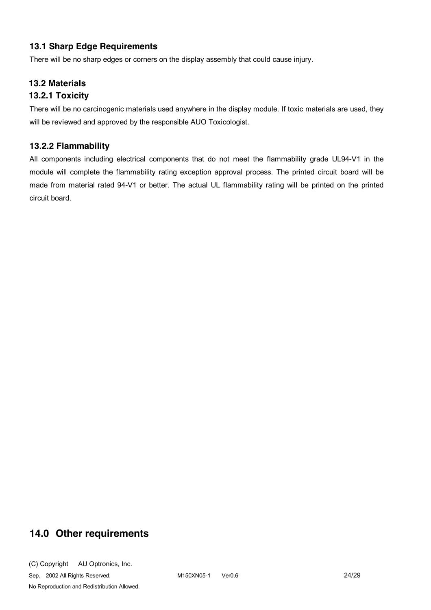### **13.1 Sharp Edge Requirements**

There will be no sharp edges or corners on the display assembly that could cause injury.

### **13.2 Materials**

### **13.2.1 Toxicity**

There will be no carcinogenic materials used anywhere in the display module. If toxic materials are used, they will be reviewed and approved by the responsible AUO Toxicologist.

### **13.2.2 Flammability**

All components including electrical components that do not meet the flammability grade UL94-V1 in the module will complete the flammability rating exception approval process. The printed circuit board will be made from material rated 94-V1 or better. The actual UL flammability rating will be printed on the printed circuit board.

# **14.0 Other requirements**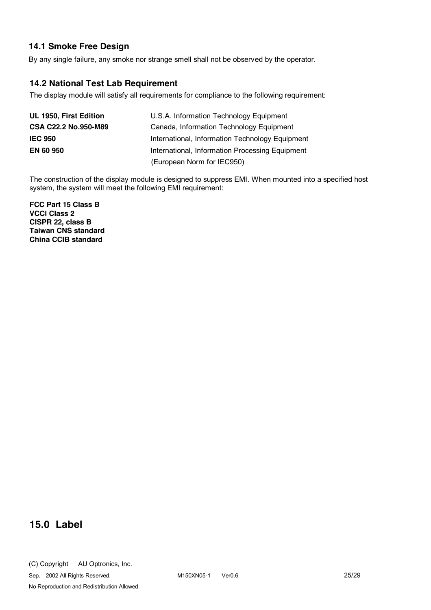### **14.1 Smoke Free Design**

By any single failure, any smoke nor strange smell shall not be observed by the operator.

### **14.2 National Test Lab Requirement**

The display module will satisfy all requirements for compliance to the following requirement:

| UL 1950, First Edition      | U.S.A. Information Technology Equipment         |
|-----------------------------|-------------------------------------------------|
| <b>CSA C22.2 No.950-M89</b> | Canada, Information Technology Equipment        |
| <b>IEC 950</b>              | International, Information Technology Equipment |
| <b>EN 60 950</b>            | International, Information Processing Equipment |
|                             | (European Norm for IEC950)                      |

The construction of the display module is designed to suppress EMI. When mounted into a specified host system, the system will meet the following EMI requirement:

**FCC Part 15 Class B VCCI Class 2 CISPR 22, class B Taiwan CNS standard China CCIB standard** 

# **15.0 Label**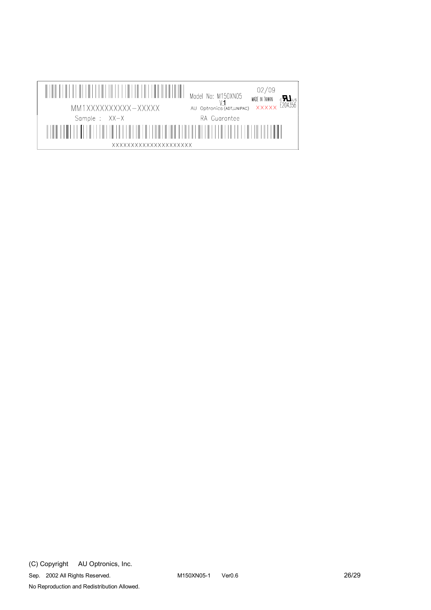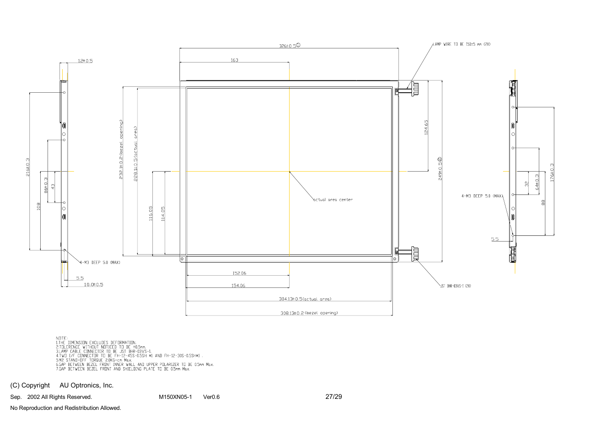

NOTE:<br>I.THE DIMENSION EXCLUDES DEFORMATION.<br>3.TOLERENCE WITHOUT NOTICED TO BE ±0.5mm.<br>3.LAMP CABLE CONNECTOR TO BE JST BHR-03VS-1.<br>4.TWO I/F CONNECTOR TO BE FH-12-45S-0.5SH \*1 AND FH-12-30S-0.5SH\*1 .<br>5.M2 DIAND-OFF TOROUE

(C) Copyright AU Optronics, Inc.

Sep. 2002 All Rights Reserved. M150XN05-1 Ver0.6 27/29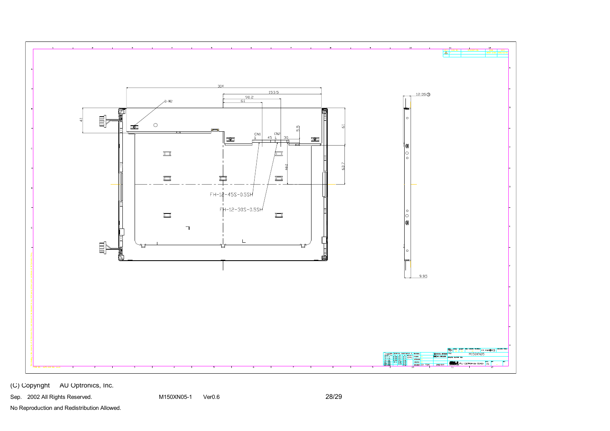

(C) Copyright AU Optronics, Inc.

Sep. 2002 All Rights Reserved. The M150XN05-1 Ver0.6 Company of the Case of the M150XN05-1 Ver0.6